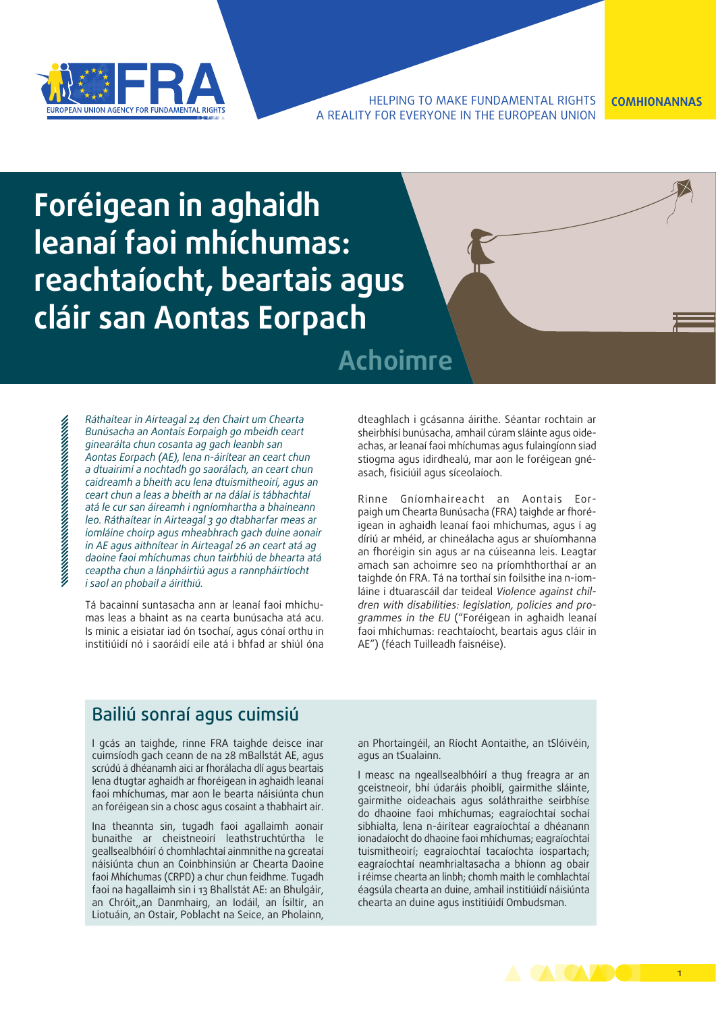

#### HELPING TO MAKE FUNDAMENTAL RIGHTS **COMHIONANNAS** A REALITY FOR EVERYONE IN THE EUROPEAN UNION

# **Foréigean in aghaidh leanaí faoi mhíchumas: reachtaíocht, beartais agus cláir san Aontas Eorpach**

## **Achoimre**

*Ráthaítear in Airteagal 24 den Chairt um Chearta Bunúsacha an Aontais Eorpaigh go mbeidh ceart ginearálta chun cosanta ag gach leanbh san Aontas Eorpach (AE), lena n-áirítear an ceart chun a dtuairimí a nochtadh go saorálach, an ceart chun caidreamh a bheith acu lena dtuismitheoirí, agus an ceart chun a leas a bheith ar na dálaí is tábhachtaí atá le cur san áireamh i ngníomhartha a bhaineann leo. Ráthaítear in Airteagal 3 go dtabharfar meas ar iomláine choirp agus mheabhrach gach duine aonair in AE agus aithnítear in Airteagal 26 an ceart atá ag daoine faoi mhíchumas chun tairbhiú de bhearta atá ceaptha chun a lánpháirtiú agus a rannpháirtíocht i saol an phobail a áirithiú.*

Tá bacainní suntasacha ann ar leanaí faoi mhíchumas leas a bhaint as na cearta bunúsacha atá acu. Is minic a eisiatar iad ón tsochaí, agus cónaí orthu in institiúidí nó i saoráidí eile atá i bhfad ar shiúl óna dteaghlach i gcásanna áirithe. Séantar rochtain ar sheirbhísí bunúsacha, amhail cúram sláinte agus oideachas, ar leanaí faoi mhíchumas agus fulaingíonn siad stiogma agus idirdhealú, mar aon le foréigean gnéasach, fisiciúil agus síceolaíoch.

Rinne Gníomhaireacht an Aontais Eorpaigh um Chearta Bunúsacha (FRA) taighde ar fhoréigean in aghaidh leanaí faoi mhíchumas, agus í ag díriú ar mhéid, ar chineálacha agus ar shuíomhanna an fhoréigin sin agus ar na cúiseanna leis. Leagtar amach san achoimre seo na príomhthorthaí ar an taighde ón FRA. Tá na torthaí sin foilsithe ina n-iomláine i dtuarascáil dar teideal *Violence against children with disabilities: legislation, policies and programmes in the EU* ("Foréigean in aghaidh leanaí faoi mhíchumas: reachtaíocht, beartais agus cláir in AE") (féach Tuilleadh faisnéise).

### Bailiú sonraí agus cuimsiú

I gcás an taighde, rinne FRA taighde deisce inar cuimsíodh gach ceann de na 28 mBallstát AE, agus scrúdú á dhéanamh aici ar fhorálacha dlí agus beartais lena dtugtar aghaidh ar fhoréigean in aghaidh leanaí faoi mhíchumas, mar aon le bearta náisiúnta chun an foréigean sin a chosc agus cosaint a thabhairt air.

Ina theannta sin, tugadh faoi agallaimh aonair bunaithe ar cheistneoirí leathstruchtúrtha le geallsealbhóirí ó chomhlachtaí ainmnithe na gcreataí náisiúnta chun an Coinbhinsiún ar Chearta Daoine faoi Mhíchumas (CRPD) a chur chun feidhme. Tugadh faoi na hagallaimh sin i 13 Bhallstát AE: an Bhulgáir, an Chróit,,an Danmhairg, an Iodáil, an Ísiltír, an Liotuáin, an Ostair, Poblacht na Seice, an Pholainn, an Phortaingéil, an Ríocht Aontaithe, an tSlóivéin, agus an tSualainn.

I measc na ngeallsealbhóirí a thug freagra ar an gceistneoir, bhí údaráis phoiblí, gairmithe sláinte, gairmithe oideachais agus soláthraithe seirbhíse do dhaoine faoi mhíchumas; eagraíochtaí sochaí sibhialta, lena n-áirítear eagraíochtaí a dhéanann ionadaíocht do dhaoine faoi mhíchumas; eagraíochtaí tuismitheoirí; eagraíochtaí tacaíochta íospartach; eagraíochtaí neamhrialtasacha a bhíonn ag obair i réimse chearta an linbh; chomh maith le comhlachtaí éagsúla chearta an duine, amhail institiúidí náisiúnta chearta an duine agus institiúidí Ombudsman.

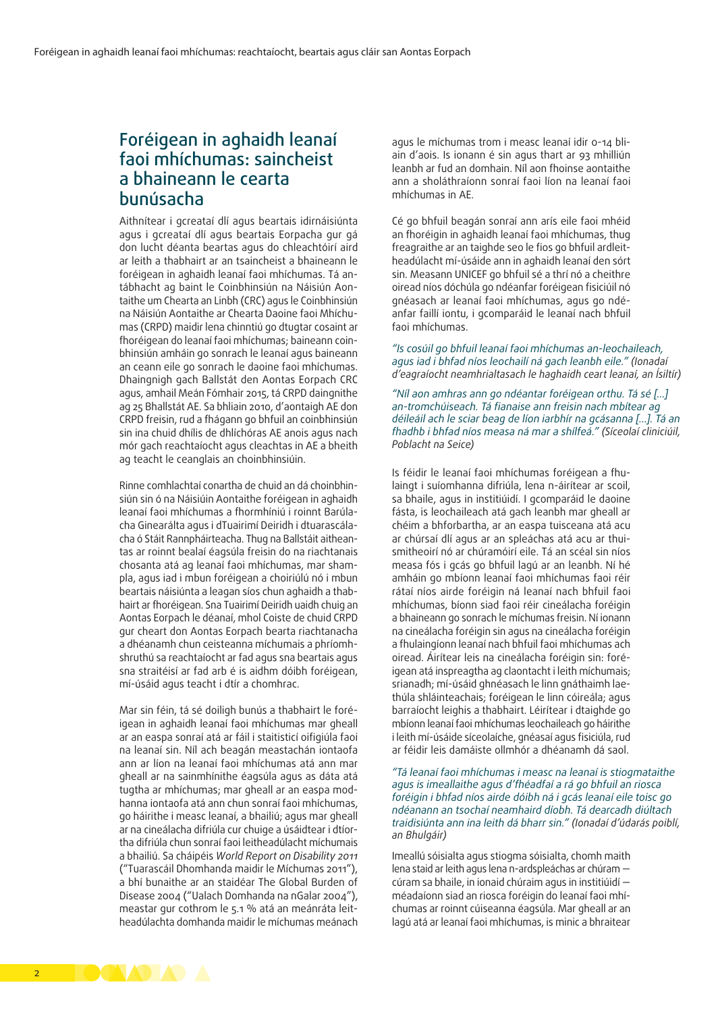### Foréigean in aghaidh leanaí faoi mhíchumas: saincheist a bhaineann le cearta bunúsacha

Aithnítear i gcreataí dlí agus beartais idirnáisiúnta agus i gcreataí dlí agus beartais Eorpacha gur gá don lucht déanta beartas agus do chleachtóirí aird ar leith a thabhairt ar an tsaincheist a bhaineann le foréigean in aghaidh leanaí faoi mhíchumas. Tá antábhacht ag baint le Coinbhinsiún na Náisiún Aontaithe um Chearta an Linbh (CRC) agus le Coinbhinsiún na Náisiún Aontaithe ar Chearta Daoine faoi Mhíchumas (CRPD) maidir lena chinntiú go dtugtar cosaint ar fhoréigean do leanaí faoi mhíchumas; baineann coinbhinsiún amháin go sonrach le leanaí agus baineann an ceann eile go sonrach le daoine faoi mhíchumas. Dhaingnigh gach Ballstát den Aontas Eorpach CRC agus, amhail Meán Fómhair 2015, tá CRPD daingnithe ag 25 Bhallstát AE. Sa bhliain 2010, d'aontaigh AE don CRPD freisin, rud a fhágann go bhfuil an coinbhinsiún sin ina chuid dhílis de dhlíchóras AE anois agus nach mór gach reachtaíocht agus cleachtas in AE a bheith ag teacht le ceanglais an choinbhinsiúin.

Rinne comhlachtaí conartha de chuid an dá choinbhinsiún sin ó na Náisiúin Aontaithe foréigean in aghaidh leanaí faoi mhíchumas a fhormhíniú i roinnt Barúlacha Ginearálta agus i dTuairimí Deiridh i dtuarascálacha ó Stáit Rannpháirteacha. Thug na Ballstáit aitheantas ar roinnt bealaí éagsúla freisin do na riachtanais chosanta atá ag leanaí faoi mhíchumas, mar shampla, agus iad i mbun foréigean a choiriúlú nó i mbun beartais náisiúnta a leagan síos chun aghaidh a thabhairt ar fhoréigean. Sna Tuairimí Deiridh uaidh chuig an Aontas Eorpach le déanaí, mhol Coiste de chuid CRPD gur cheart don Aontas Eorpach bearta riachtanacha a dhéanamh chun ceisteanna míchumais a phríomhshruthú sa reachtaíocht ar fad agus sna beartais agus sna straitéisí ar fad arb é is aidhm dóibh foréigean, mí-úsáid agus teacht i dtír a chomhrac.

Mar sin féin, tá sé doiligh bunús a thabhairt le foréigean in aghaidh leanaí faoi mhíchumas mar gheall ar an easpa sonraí atá ar fáil i staitisticí oifigiúla faoi na leanaí sin. Níl ach beagán meastachán iontaofa ann ar líon na leanaí faoi mhíchumas atá ann mar gheall ar na sainmhínithe éagsúla agus as dáta atá tugtha ar mhíchumas; mar gheall ar an easpa modhanna iontaofa atá ann chun sonraí faoi mhíchumas, go háirithe i measc leanaí, a bhailiú; agus mar gheall ar na cineálacha difriúla cur chuige a úsáidtear i dtíortha difriúla chun sonraí faoi leitheadúlacht míchumais a bhailiú. Sa cháipéis *World Report on Disability 2011* ("Tuarascáil Dhomhanda maidir le Míchumas 2011"), a bhí bunaithe ar an staidéar The Global Burden of Disease 2004 ("Ualach Domhanda na nGalar 2004"), meastar gur cothrom le 5.1 % atá an meánráta leitheadúlachta domhanda maidir le míchumas meánach

agus le míchumas trom i measc leanaí idir 0-14 bliain d'aois. Is ionann é sin agus thart ar 93 mhilliún leanbh ar fud an domhain. Níl aon fhoinse aontaithe ann a sholáthraíonn sonraí faoi líon na leanaí faoi mhíchumas in AE.

Cé go bhfuil beagán sonraí ann arís eile faoi mhéid an fhoréigin in aghaidh leanaí faoi mhíchumas, thug freagraithe ar an taighde seo le fios go bhfuil ardleitheadúlacht mí-úsáide ann in aghaidh leanaí den sórt sin. Measann UNICEF go bhfuil sé a thrí nó a cheithre oiread níos dóchúla go ndéanfar foréigean fisiciúil nó gnéasach ar leanaí faoi mhíchumas, agus go ndéanfar faillí iontu, i gcomparáid le leanaí nach bhfuil faoi mhíchumas.

#### *"Is cosúil go bhfuil leanaí faoi mhíchumas an-leochaileach, agus iad i bhfad níos leochailí ná gach leanbh eile." (Ionadaí d'eagraíocht neamhrialtasach le haghaidh ceart leanaí, an Ísiltír)*

*"Níl aon amhras ann go ndéantar foréigean orthu. Tá sé […] an-tromchúiseach. Tá fianaise ann freisin nach mbítear ag déileáil ach le sciar beag de líon iarbhír na gcásanna […]. Tá an fhadhb i bhfad níos measa ná mar a shílfeá." (Síceolaí cliniciúil, Poblacht na Seice)*

Is féidir le leanaí faoi mhíchumas foréigean a fhulaingt i suíomhanna difriúla, lena n-áirítear ar scoil, sa bhaile, agus in institiúidí. I gcomparáid le daoine fásta, is leochaileach atá gach leanbh mar gheall ar chéim a bhforbartha, ar an easpa tuisceana atá acu ar chúrsaí dlí agus ar an spleáchas atá acu ar thuismitheoirí nó ar chúramóirí eile. Tá an scéal sin níos measa fós i gcás go bhfuil lagú ar an leanbh. Ní hé amháin go mbíonn leanaí faoi mhíchumas faoi réir rátaí níos airde foréigin ná leanaí nach bhfuil faoi mhíchumas, bíonn siad faoi réir cineálacha foréigin a bhaineann go sonrach le míchumas freisin. Ní ionann na cineálacha foréigin sin agus na cineálacha foréigin a fhulaingíonn leanaí nach bhfuil faoi mhíchumas ach oiread. Áirítear leis na cineálacha foréigin sin: foréigean atá inspreagtha ag claontacht i leith míchumais; srianadh; mí-úsáid ghnéasach le linn gnáthaimh laethúla shláinteachais; foréigean le linn cóireála; agus barraíocht leighis a thabhairt. Léirítear i dtaighde go mbíonn leanaí faoi mhíchumas leochaileach go háirithe i leith mí-úsáide síceolaíche, gnéasaí agus fisiciúla, rud ar féidir leis damáiste ollmhór a dhéanamh dá saol.

#### *"Tá leanaí faoi mhíchumas i measc na leanaí is stiogmataithe agus is imeallaithe agus d'fhéadfaí a rá go bhfuil an riosca foréigin i bhfad níos airde dóibh ná i gcás leanaí eile toisc go ndéanann an tsochaí neamhaird díobh. Tá dearcadh diúltach traidisiúnta ann ina leith dá bharr sin." (Ionadaí d'údarás poiblí, an Bhulgáir)*

Imeallú sóisialta agus stiogma sóisialta, chomh maith lena staid ar leith agus lena n-ardspleáchas ar chúram cúram sa bhaile, in ionaid chúraim agus in institiúidí méadaíonn siad an riosca foréigin do leanaí faoi mhíchumas ar roinnt cúiseanna éagsúla. Mar gheall ar an lagú atá ar leanaí faoi mhíchumas, is minic a bhraitear

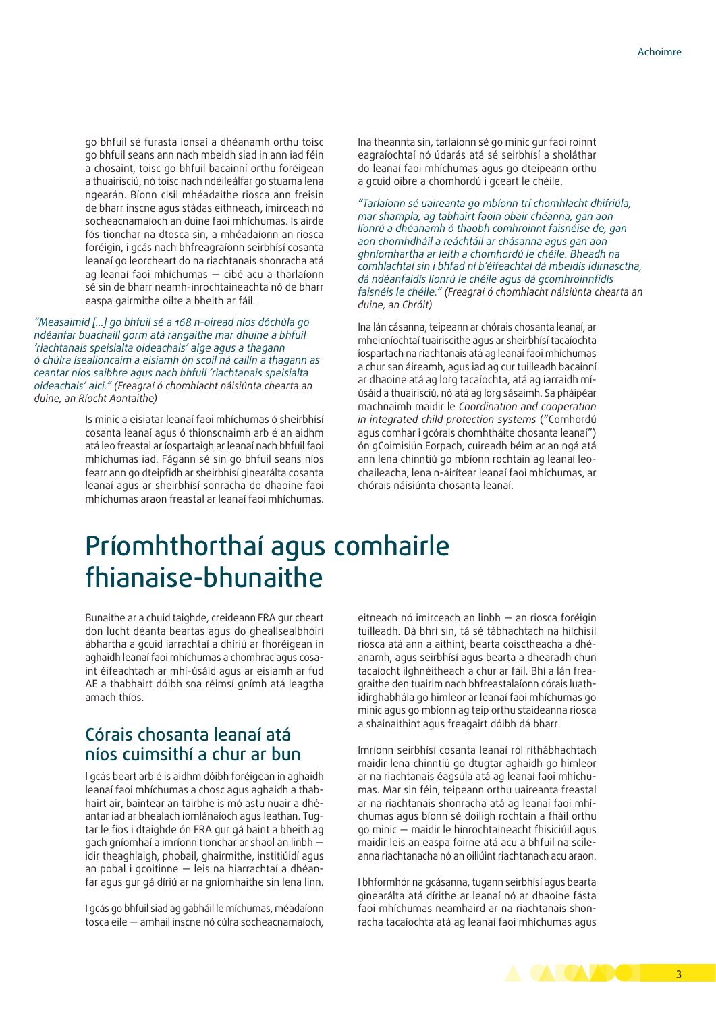go bhfuil sé furasta ionsaí a dhéanamh orthu toisc go bhfuil seans ann nach mbeidh siad in ann iad féin a chosaint, toisc go bhfuil bacainní orthu foréigean a thuairisciú, nó toisc nach ndéileálfar go stuama lena ngearán. Bíonn cisil mhéadaithe riosca ann freisin de bharr inscne agus stádas eithneach, imirceach nó socheacnamaíoch an duine faoi mhíchumas. Is airde fós tionchar na dtosca sin, a mhéadaíonn an riosca foréigin, i gcás nach bhfreagraíonn seirbhísí cosanta leanaí go leorcheart do na riachtanais shonracha atá ag leanaí faoi mhíchumas — cibé acu a tharlaíonn sé sin de bharr neamh-inrochtaineachta nó de bharr easpa gairmithe oilte a bheith ar fáil.

*"Measaimid […] go bhfuil sé a 168 n-oiread níos dóchúla go ndéanfar buachaill gorm atá rangaithe mar dhuine a bhfuil 'riachtanais speisialta oideachais' aige agus a thagann ó chúlra ísealioncaim a eisiamh ón scoil ná cailín a thagann as ceantar níos saibhre agus nach bhfuil 'riachtanais speisialta oideachais' aici." (Freagraí ó chomhlacht náisiúnta chearta an duine, an Ríocht Aontaithe)*

> Is minic a eisiatar leanaí faoi mhíchumas ó sheirbhísí cosanta leanaí agus ó thionscnaimh arb é an aidhm atá leo freastal ar íospartaigh ar leanaí nach bhfuil faoi mhíchumas iad. Fágann sé sin go bhfuil seans níos fearr ann go dteipfidh ar sheirbhísí ginearálta cosanta leanaí agus ar sheirbhísí sonracha do dhaoine faoi mhíchumas araon freastal ar leanaí faoi mhíchumas.

Ina theannta sin, tarlaíonn sé go minic gur faoi roinnt eagraíochtaí nó údarás atá sé seirbhísí a sholáthar do leanaí faoi mhíchumas agus go dteipeann orthu a gcuid oibre a chomhordú i gceart le chéile.

*"Tarlaíonn sé uaireanta go mbíonn trí chomhlacht dhifriúla, mar shampla, ag tabhairt faoin obair chéanna, gan aon líonrú a dhéanamh ó thaobh comhroinnt faisnéise de, gan aon chomhdháil a reáchtáil ar chásanna agus gan aon ghníomhartha ar leith a chomhordú le chéile. Bheadh na comhlachtaí sin i bhfad ní b'éifeachtaí dá mbeidís idirnasctha, dá ndéanfaidís líonrú le chéile agus dá gcomhroinnfidís faisnéis le chéile." (Freagraí ó chomhlacht náisiúnta chearta an duine, an Chróit)*

Ina lán cásanna, teipeann ar chórais chosanta leanaí, ar mheicníochtaí tuairiscithe agus ar sheirbhísí tacaíochta íospartach na riachtanais atá ag leanaí faoi mhíchumas a chur san áireamh, agus iad ag cur tuilleadh bacainní ar dhaoine atá ag lorg tacaíochta, atá ag iarraidh míúsáid a thuairisciú, nó atá ag lorg sásaimh. Sa pháipéar machnaimh maidir le *Coordination and cooperation in integrated child protection systems* ("Comhordú agus comhar i gcórais chomhtháite chosanta leanaí") ón gCoimisiún Eorpach, cuireadh béim ar an ngá atá ann lena chinntiú go mbíonn rochtain ag leanaí leochaileacha, lena n-áirítear leanaí faoi mhíchumas, ar chórais náisiúnta chosanta leanaí.

## Príomhthorthaí agus comhairle fhianaise-bhunaithe

Bunaithe ar a chuid taighde, creideann FRA gur cheart don lucht déanta beartas agus do gheallsealbhóirí ábhartha a gcuid iarrachtaí a dhíriú ar fhoréigean in aghaidh leanaí faoi mhíchumas a chomhrac agus cosaint éifeachtach ar mhí-úsáid agus ar eisiamh ar fud AE a thabhairt dóibh sna réimsí gnímh atá leagtha amach thíos.

### Córais chosanta leanaí atá níos cuimsithí a chur ar bun

I gcás beart arb é is aidhm dóibh foréigean in aghaidh leanaí faoi mhíchumas a chosc agus aghaidh a thabhairt air, baintear an tairbhe is mó astu nuair a dhéantar iad ar bhealach iomlánaíoch agus leathan. Tugtar le fios i dtaighde ón FRA gur gá baint a bheith ag gach gníomhaí a imríonn tionchar ar shaol an linbh idir theaghlaigh, phobail, ghairmithe, institiúidí agus an pobal i gcoitinne — leis na hiarrachtaí a dhéanfar agus gur gá díriú ar na gníomhaithe sin lena linn.

I gcás go bhfuil siad ag gabháil le míchumas, méadaíonn tosca eile — amhail inscne nó cúlra socheacnamaíoch, eitneach nó imirceach an linbh — an riosca foréigin tuilleadh. Dá bhrí sin, tá sé tábhachtach na hilchisil riosca atá ann a aithint, bearta coisctheacha a dhéanamh, agus seirbhísí agus bearta a dhearadh chun tacaíocht ilghnéitheach a chur ar fáil. Bhí a lán freagraithe den tuairim nach bhfreastalaíonn córais luathidirghabhála go himleor ar leanaí faoi mhíchumas go minic agus go mbíonn ag teip orthu staideanna riosca a shainaithint agus freagairt dóibh dá bharr.

Imríonn seirbhísí cosanta leanaí ról ríthábhachtach maidir lena chinntiú go dtugtar aghaidh go himleor ar na riachtanais éagsúla atá ag leanaí faoi mhíchumas. Mar sin féin, teipeann orthu uaireanta freastal ar na riachtanais shonracha atá ag leanaí faoi mhíchumas agus bíonn sé doiligh rochtain a fháil orthu go minic — maidir le hinrochtaineacht fhisiciúil agus maidir leis an easpa foirne atá acu a bhfuil na scileanna riachtanacha nó an oiliúint riachtanach acu araon.

I bhformhór na gcásanna, tugann seirbhísí agus bearta ginearálta atá dírithe ar leanaí nó ar dhaoine fásta faoi mhíchumas neamhaird ar na riachtanais shonracha tacaíochta atá ag leanaí faoi mhíchumas agus

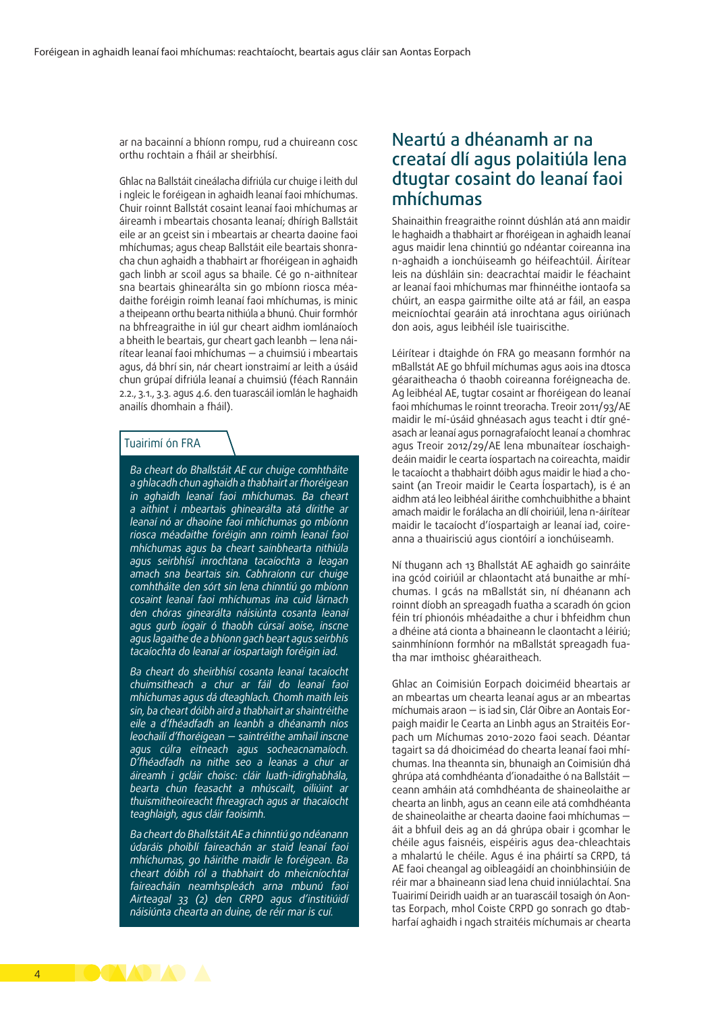ar na bacainní a bhíonn rompu, rud a chuireann cosc orthu rochtain a fháil ar sheirbhísí.

Ghlac na Ballstáit cineálacha difriúla cur chuige i leith dul i ngleic le foréigean in aghaidh leanaí faoi mhíchumas. Chuir roinnt Ballstát cosaint leanaí faoi mhíchumas ar áireamh i mbeartais chosanta leanaí; dhírigh Ballstáit eile ar an gceist sin i mbeartais ar chearta daoine faoi mhíchumas; agus cheap Ballstáit eile beartais shonracha chun aghaidh a thabhairt ar fhoréigean in aghaidh gach linbh ar scoil agus sa bhaile. Cé go n-aithnítear sna beartais ghinearálta sin go mbíonn riosca méadaithe foréigin roimh leanaí faoi mhíchumas, is minic a theipeann orthu bearta nithiúla a bhunú. Chuir formhór na bhfreagraithe in iúl gur cheart aidhm iomlánaíoch a bheith le beartais, gur cheart gach leanbh — lena náirítear leanaí faoi mhíchumas — a chuimsiú i mbeartais agus, dá bhrí sin, nár cheart ionstraimí ar leith a úsáid chun grúpaí difriúla leanaí a chuimsiú (féach Rannáin 2.2., 3.1., 3.3. agus 4.6. den tuarascáil iomlán le haghaidh anailís dhomhain a fháil).

#### Tuairimí ón FRA

*Ba cheart do Bhallstáit AE cur chuige comhtháite a ghlacadh chun aghaidh a thabhairt ar fhoréigean in aghaidh leanaí faoi mhíchumas. Ba cheart a aithint i mbeartais ghinearálta atá dírithe ar leanaí nó ar dhaoine faoi mhíchumas go mbíonn riosca méadaithe foréigin ann roimh leanaí faoi mhíchumas agus ba cheart sainbhearta nithiúla agus seirbhísí inrochtana tacaíochta a leagan amach sna beartais sin. Cabhraíonn cur chuige comhtháite den sórt sin lena chinntiú go mbíonn cosaint leanaí faoi mhíchumas ina cuid lárnach den chóras ginearálta náisiúnta cosanta leanaí agus gurb íogair ó thaobh cúrsaí aoise, inscne agus lagaithe de a bhíonn gach beart agus seirbhís tacaíochta do leanaí ar íospartaigh foréigin iad.*

*Ba cheart do sheirbhísí cosanta leanaí tacaíocht chuimsitheach a chur ar fáil do leanaí faoi mhíchumas agus dá dteaghlach. Chomh maith leis sin, ba cheart dóibh aird a thabhairt ar shaintréithe eile a d'fhéadfadh an leanbh a dhéanamh níos leochailí d'fhoréigean — saintréithe amhail inscne agus cúlra eitneach agus socheacnamaíoch. D'fhéadfadh na nithe seo a leanas a chur ar áireamh i gcláir choisc: cláir luath-idirghabhála, bearta chun feasacht a mhúscailt, oiliúint ar thuismitheoireacht fhreagrach agus ar thacaíocht teaghlaigh, agus cláir faoisimh.*

*Ba cheart do Bhallstáit AE a chinntiú go ndéanann údaráis phoiblí faireachán ar staid leanaí faoi mhíchumas, go háirithe maidir le foréigean. Ba cheart dóibh ról a thabhairt do mheicníochtaí faireacháin neamhspleách arna mbunú faoi Airteagal 33 (2) den CRPD agus d'institiúidí náisiúnta chearta an duine, de réir mar is cuí.*

### Neartú a dhéanamh ar na creataí dlí agus polaitiúla lena dtugtar cosaint do leanaí faoi mhíchumas

Shainaithin freagraithe roinnt dúshlán atá ann maidir le haghaidh a thabhairt ar fhoréigean in aghaidh leanaí agus maidir lena chinntiú go ndéantar coireanna ina n-aghaidh a ionchúiseamh go héifeachtúil. Áirítear leis na dúshláin sin: deacrachtaí maidir le féachaint ar leanaí faoi mhíchumas mar fhinnéithe iontaofa sa chúirt, an easpa gairmithe oilte atá ar fáil, an easpa meicníochtaí gearáin atá inrochtana agus oiriúnach don aois, agus leibhéil ísle tuairiscithe.

Léirítear i dtaighde ón FRA go measann formhór na mBallstát AE go bhfuil míchumas agus aois ina dtosca géaraitheacha ó thaobh coireanna foréigneacha de. Ag leibhéal AE, tugtar cosaint ar fhoréigean do leanaí faoi mhíchumas le roinnt treoracha. Treoir 2011/93/AE maidir le mí-úsáid ghnéasach agus teacht i dtír gnéasach ar leanaí agus pornagrafaíocht leanaí a chomhrac agus Treoir 2012/29/AE lena mbunaítear íoschaighdeáin maidir le cearta íospartach na coireachta, maidir le tacaíocht a thabhairt dóibh agus maidir le hiad a chosaint (an Treoir maidir le Cearta Íospartach), is é an aidhm atá leo leibhéal áirithe comhchuibhithe a bhaint amach maidir le forálacha an dlí choiriúil, lena n-áirítear maidir le tacaíocht d'íospartaigh ar leanaí iad, coireanna a thuairisciú agus ciontóirí a ionchúiseamh.

Ní thugann ach 13 Bhallstát AE aghaidh go sainráite ina gcód coiriúil ar chlaontacht atá bunaithe ar mhíchumas. I gcás na mBallstát sin, ní dhéanann ach roinnt díobh an spreagadh fuatha a scaradh ón gcion féin trí phionóis mhéadaithe a chur i bhfeidhm chun a dhéine atá cionta a bhaineann le claontacht a léiriú; sainmhíníonn formhór na mBallstát spreagadh fuatha mar imthoisc ghéaraitheach.

Ghlac an Coimisiún Eorpach doiciméid bheartais ar an mbeartas um chearta leanaí agus ar an mbeartas míchumais araon — is iad sin, Clár Oibre an Aontais Eorpaigh maidir le Cearta an Linbh agus an Straitéis Eorpach um Míchumas 2010-2020 faoi seach. Déantar tagairt sa dá dhoiciméad do chearta leanaí faoi mhíchumas. Ina theannta sin, bhunaigh an Coimisiún dhá ghrúpa atá comhdhéanta d'ionadaithe ó na Ballstáit ceann amháin atá comhdhéanta de shaineolaithe ar chearta an linbh, agus an ceann eile atá comhdhéanta de shaineolaithe ar chearta daoine faoi mhíchumas áit a bhfuil deis ag an dá ghrúpa obair i gcomhar le chéile agus faisnéis, eispéiris agus dea-chleachtais a mhalartú le chéile. Agus é ina pháirtí sa CRPD, tá AE faoi cheangal ag oibleagáidí an choinbhinsiúin de réir mar a bhaineann siad lena chuid inniúlachtaí. Sna Tuairimí Deiridh uaidh ar an tuarascáil tosaigh ón Aontas Eorpach, mhol Coiste CRPD go sonrach go dtabharfaí aghaidh i ngach straitéis míchumais ar chearta

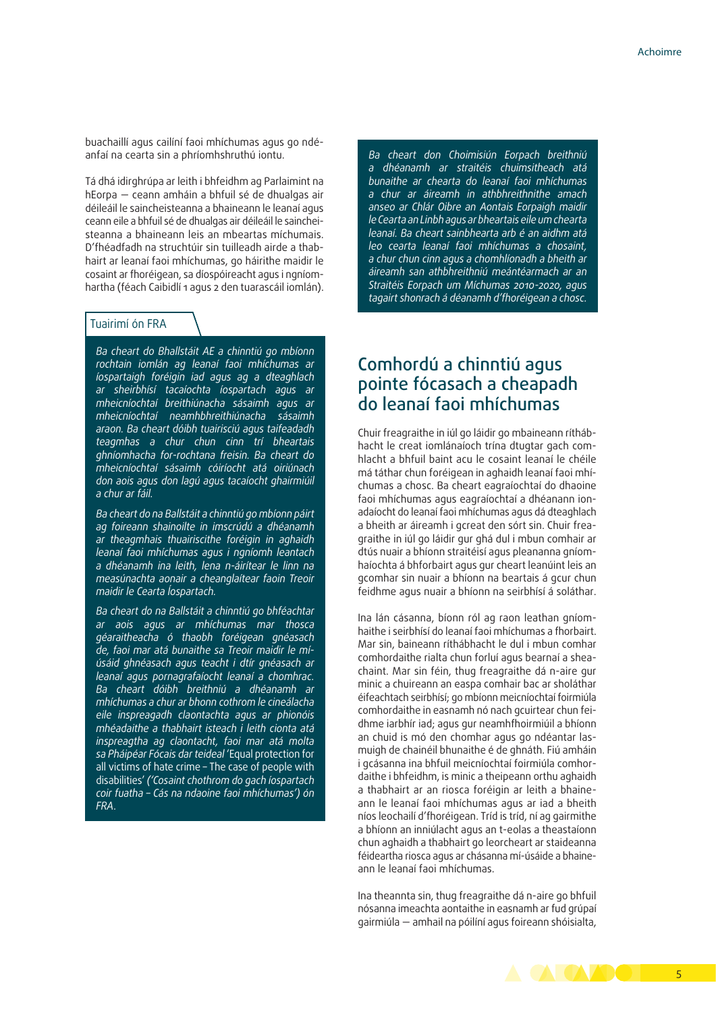buachaillí agus cailíní faoi mhíchumas agus go ndéanfaí na cearta sin a phríomhshruthú iontu.

Tá dhá idirghrúpa ar leith i bhfeidhm ag Parlaimint na hEorpa — ceann amháin a bhfuil sé de dhualgas air déileáil le saincheisteanna a bhaineann le leanaí agus ceann eile a bhfuil sé de dhualgas air déileáil le saincheisteanna a bhaineann leis an mbeartas míchumais. D'fhéadfadh na struchtúir sin tuilleadh airde a thabhairt ar leanaí faoi mhíchumas, go háirithe maidir le cosaint ar fhoréigean, sa díospóireacht agus i ngníomhartha (féach Caibidlí 1 agus 2 den tuarascáil iomlán).

#### Tuairimí ón FRA

*Ba cheart do Bhallstáit AE a chinntiú go mbíonn rochtain iomlán ag leanaí faoi mhíchumas ar íospartaigh foréigin iad agus ag a dteaghlach ar sheirbhísí tacaíochta íospartach agus ar mheicníochtaí breithiúnacha sásaimh agus ar mheicníochtaí neamhbhreithiúnacha sásaimh araon. Ba cheart dóibh tuairisciú agus taifeadadh teagmhas a chur chun cinn trí bheartais ghníomhacha for-rochtana freisin. Ba cheart do mheicníochtaí sásaimh cóiríocht atá oiriúnach don aois agus don lagú agus tacaíocht ghairmiúil a chur ar fáil.*

*Ba cheart do na Ballstáit a chinntiú go mbíonn páirt ag foireann shainoilte in imscrúdú a dhéanamh ar theagmhais thuairiscithe foréigin in aghaidh leanaí faoi mhíchumas agus i ngníomh leantach a dhéanamh ina leith, lena n-áirítear le linn na measúnachta aonair a cheanglaítear faoin Treoir maidir le Cearta Íospartach.*

*Ba cheart do na Ballstáit a chinntiú go bhféachtar ar aois agus ar mhíchumas mar thosca géaraitheacha ó thaobh foréigean gnéasach de, faoi mar atá bunaithe sa Treoir maidir le míúsáid ghnéasach agus teacht i dtír gnéasach ar leanaí agus pornagrafaíocht leanaí a chomhrac. Ba cheart dóibh breithniú a dhéanamh ar mhíchumas a chur ar bhonn cothrom le cineálacha eile inspreagadh claontachta agus ar phionóis mhéadaithe a thabhairt isteach i leith cionta atá inspreagtha ag claontacht, faoi mar atá molta sa Pháipéar Fócais dar teideal* 'Equal protection for all victims of hate crime – The case of people with disabilities' *('Cosaint chothrom do gach íospartach coir fuatha – Cás na ndaoine faoi mhíchumas') ón FRA.*

*Ba cheart don Choimisiún Eorpach breithniú a dhéanamh ar straitéis chuimsitheach atá bunaithe ar chearta do leanaí faoi mhíchumas a chur ar áireamh in athbhreithnithe amach anseo ar Chlár Oibre an Aontais Eorpaigh maidir le Cearta an Linbh agus ar bheartais eile um chearta leanaí. Ba cheart sainbhearta arb é an aidhm atá leo cearta leanaí faoi mhíchumas a chosaint, a chur chun cinn agus a chomhlíonadh a bheith ar áireamh san athbhreithniú meántéarmach ar an Straitéis Eorpach um Míchumas 2010-2020, agus tagairt shonrach á déanamh d'fhoréigean a chosc.*

### Comhordú a chinntiú agus pointe fócasach a cheapadh do leanaí faoi mhíchumas

Chuir freagraithe in iúl go láidir go mbaineann ríthábhacht le creat iomlánaíoch trína dtugtar gach comhlacht a bhfuil baint acu le cosaint leanaí le chéile má táthar chun foréigean in aghaidh leanaí faoi mhíchumas a chosc. Ba cheart eagraíochtaí do dhaoine faoi mhíchumas agus eagraíochtaí a dhéanann ionadaíocht do leanaí faoi mhíchumas agus dá dteaghlach a bheith ar áireamh i gcreat den sórt sin. Chuir freagraithe in iúl go láidir gur ghá dul i mbun comhair ar dtús nuair a bhíonn straitéisí agus pleananna gníomhaíochta á bhforbairt agus gur cheart leanúint leis an gcomhar sin nuair a bhíonn na beartais á gcur chun feidhme agus nuair a bhíonn na seirbhísí á soláthar.

Ina lán cásanna, bíonn ról ag raon leathan gníomhaithe i seirbhísí do leanaí faoi mhíchumas a fhorbairt. Mar sin, baineann ríthábhacht le dul i mbun comhar comhordaithe rialta chun forluí agus bearnaí a sheachaint. Mar sin féin, thug freagraithe dá n-aire gur minic a chuireann an easpa comhair bac ar sholáthar éifeachtach seirbhísí; go mbíonn meicníochtaí foirmiúla comhordaithe in easnamh nó nach gcuirtear chun feidhme iarbhír iad; agus gur neamhfhoirmiúil a bhíonn an chuid is mó den chomhar agus go ndéantar lasmuigh de chainéil bhunaithe é de ghnáth. Fiú amháin i gcásanna ina bhfuil meicníochtaí foirmiúla comhordaithe i bhfeidhm, is minic a theipeann orthu aghaidh a thabhairt ar an riosca foréigin ar leith a bhaineann le leanaí faoi mhíchumas agus ar iad a bheith níos leochailí d'fhoréigean. Tríd is tríd, ní ag gairmithe a bhíonn an inniúlacht agus an t-eolas a theastaíonn chun aghaidh a thabhairt go leorcheart ar staideanna féideartha riosca agus ar chásanna mí-úsáide a bhaineann le leanaí faoi mhíchumas.

Ina theannta sin, thug freagraithe dá n-aire go bhfuil nósanna imeachta aontaithe in easnamh ar fud grúpaí gairmiúla — amhail na póilíní agus foireann shóisialta,

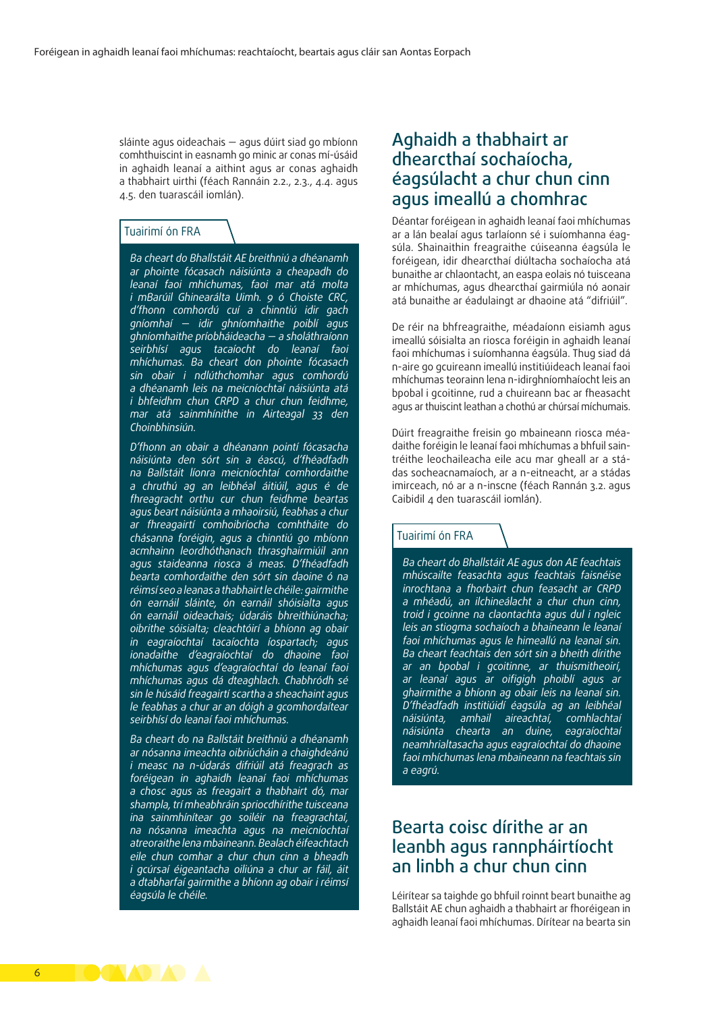sláinte agus oideachais — agus dúirt siad go mbíonn comhthuiscint in easnamh go minic ar conas mí-úsáid in aghaidh leanaí a aithint agus ar conas aghaidh a thabhairt uirthi (féach Rannáin 2.2., 2.3., 4.4. agus 4.5. den tuarascáil iomlán).

#### Tuairimí ón FRA

*Ba cheart do Bhallstáit AE breithniú a dhéanamh ar phointe fócasach náisiúnta a cheapadh do leanaí faoi mhíchumas, faoi mar atá molta i mBarúil Ghinearálta Uimh. 9 ó Choiste CRC, d'fhonn comhordú cuí a chinntiú idir gach gníomhaí — idir ghníomhaithe poiblí agus ghníomhaithe príobháideacha — a sholáthraíonn seirbhísí agus tacaíocht do leanaí faoi mhíchumas. Ba cheart don phointe fócasach sin obair i ndlúthchomhar agus comhordú a dhéanamh leis na meicníochtaí náisiúnta atá i bhfeidhm chun CRPD a chur chun feidhme, mar atá sainmhínithe in Airteagal 33 den Choinbhinsiún.*

*D'fhonn an obair a dhéanann pointí fócasacha náisiúnta den sórt sin a éascú, d'fhéadfadh na Ballstáit líonra meicníochtaí comhordaithe a chruthú ag an leibhéal áitiúil, agus é de fhreagracht orthu cur chun feidhme beartas agus beart náisiúnta a mhaoirsiú, feabhas a chur ar fhreagairtí comhoibríocha comhtháite do chásanna foréigin, agus a chinntiú go mbíonn acmhainn leordhóthanach thrasghairmiúil ann agus staideanna riosca á meas. D'fhéadfadh bearta comhordaithe den sórt sin daoine ó na réimsí seo a leanas a thabhairt le chéile: gairmithe ón earnáil sláinte, ón earnáil shóisialta agus ón earnáil oideachais; údaráis bhreithiúnacha; oibrithe sóisialta; cleachtóirí a bhíonn ag obair in eagraíochtaí tacaíochta íospartach; agus ionadaithe d'eagraíochtaí do dhaoine faoi mhíchumas agus d'eagraíochtaí do leanaí faoi mhíchumas agus dá dteaghlach. Chabhródh sé sin le húsáid freagairtí scartha a sheachaint agus le feabhas a chur ar an dóigh a gcomhordaítear seirbhísí do leanaí faoi mhíchumas.*

*Ba cheart do na Ballstáit breithniú a dhéanamh ar nósanna imeachta oibriúcháin a chaighdeánú i measc na n-údarás difriúil atá freagrach as foréigean in aghaidh leanaí faoi mhíchumas a chosc agus as freagairt a thabhairt dó, mar shampla, trí mheabhráin spriocdhírithe tuisceana ina sainmhínítear go soiléir na freagrachtaí, na nósanna imeachta agus na meicníochtaí atreoraithe lena mbaineann. Bealach éifeachtach eile chun comhar a chur chun cinn a bheadh i gcúrsaí éigeantacha oiliúna a chur ar fáil, áit a dtabharfaí gairmithe a bhíonn ag obair i réimsí éagsúla le chéile.*

### Aghaidh a thabhairt ar dhearcthaí sochaíocha, éagsúlacht a chur chun cinn agus imeallú a chomhrac

Déantar foréigean in aghaidh leanaí faoi mhíchumas ar a lán bealaí agus tarlaíonn sé i suíomhanna éagsúla. Shainaithin freagraithe cúiseanna éagsúla le foréigean, idir dhearcthaí diúltacha sochaíocha atá bunaithe ar chlaontacht, an easpa eolais nó tuisceana ar mhíchumas, agus dhearcthaí gairmiúla nó aonair atá bunaithe ar éadulaingt ar dhaoine atá "difriúil".

De réir na bhfreagraithe, méadaíonn eisiamh agus imeallú sóisialta an riosca foréigin in aghaidh leanaí faoi mhíchumas i suíomhanna éagsúla. Thug siad dá n-aire go gcuireann imeallú institiúideach leanaí faoi mhíchumas teorainn lena n-idirghníomhaíocht leis an bpobal i gcoitinne, rud a chuireann bac ar fheasacht agus ar thuiscint leathan a chothú ar chúrsaí míchumais.

Dúirt freagraithe freisin go mbaineann riosca méadaithe foréigin le leanaí faoi mhíchumas a bhfuil saintréithe leochaileacha eile acu mar gheall ar a stádas socheacnamaíoch, ar a n-eitneacht, ar a stádas imirceach, nó ar a n-inscne (féach Rannán 3.2. agus Caibidil 4 den tuarascáil iomlán).

#### Tuairimí ón FRA

*Ba cheart do Bhallstáit AE agus don AE feachtais mhúscailte feasachta agus feachtais faisnéise inrochtana a fhorbairt chun feasacht ar CRPD a mhéadú, an ilchineálacht a chur chun cinn, troid i gcoinne na claontachta agus dul i ngleic leis an stiogma sochaíoch a bhaineann le leanaí faoi mhíchumas agus le himeallú na leanaí sin. Ba cheart feachtais den sórt sin a bheith dírithe ar an bpobal i gcoitinne, ar thuismitheoirí, ar leanaí agus ar oifigigh phoiblí agus ar ghairmithe a bhíonn ag obair leis na leanaí sin. D'fhéadfadh institiúidí éagsúla ag an leibhéal náisiúnta, amhail aireachtaí, comhlachtaí náisiúnta chearta an duine, eagraíochtaí neamhrialtasacha agus eagraíochtaí do dhaoine faoi mhíchumas lena mbaineann na feachtais sin a eagrú.*

### Bearta coisc dírithe ar an leanbh agus rannpháirtíocht an linbh a chur chun cinn

Léirítear sa taighde go bhfuil roinnt beart bunaithe ag Ballstáit AE chun aghaidh a thabhairt ar fhoréigean in aghaidh leanaí faoi mhíchumas. Dírítear na bearta sin

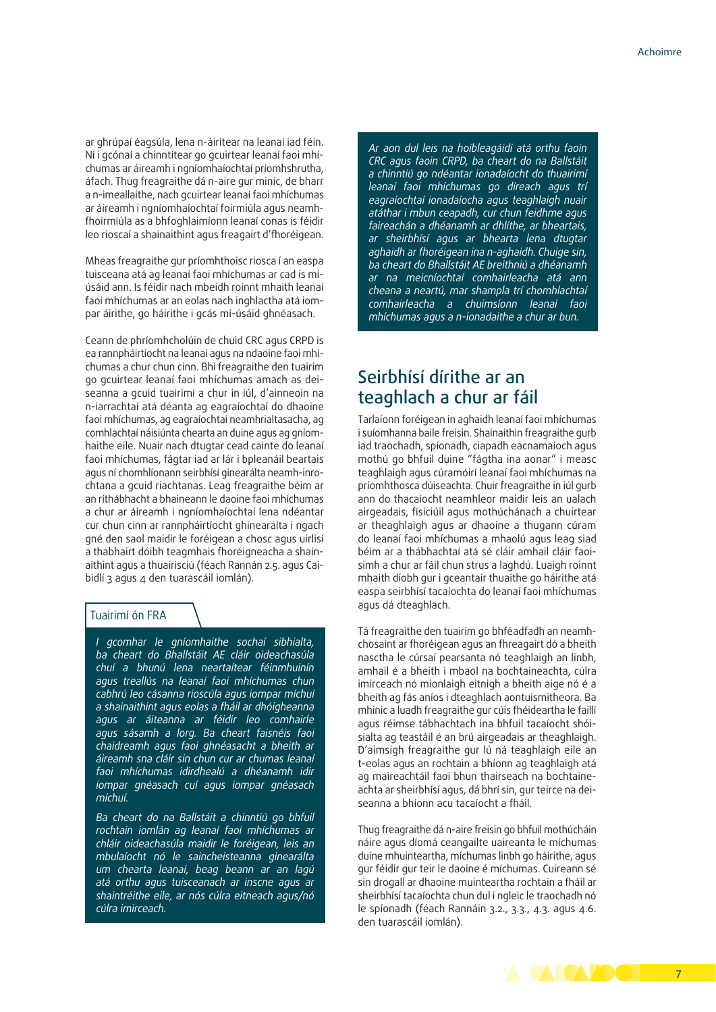ar ghrúpaí éagsúla, lena n-áirítear na leanaí iad féin. Ní i gcónaí a chinntítear go gcuirtear leanaí faoi mhíchumas ar áireamh i ngníomhaíochtaí príomhshrutha, áfach. Thug freagraithe dá n-aire gur minic, de bharr a n-imeallaithe, nach gcuirtear leanaí faoi mhíchumas ar áireamh i ngníomhaíochtaí foirmiúla agus neamhfhoirmiúla as a bhfoghlaimíonn leanaí conas is féidir leo rioscaí a shainaithint agus freagairt d'fhoréigean.

Mheas freagraithe gur príomhthoisc riosca í an easpa tuisceana atá ag leanaí faoi mhíchumas ar cad is míúsáid ann. Is féidir nach mbeidh roinnt mhaith leanaí faoi mhíchumas ar an eolas nach inghlactha atá iompar áirithe, go háirithe i gcás mí-úsáid ghnéasach.

Ceann de phríomhcholúin de chuid CRC agus CRPD is ea rannpháirtíocht na leanaí agus na ndaoine faoi mhíchumas a chur chun cinn. Bhí freagraithe den tuairim go gcuirtear leanaí faoi mhíchumas amach as deiseanna a gcuid tuairimí a chur in iúl, d'ainneoin na n-iarrachtaí atá déanta ag eagraíochtaí do dhaoine faoi mhíchumas, ag eagraíochtaí neamhrialtasacha, ag comhlachtaí náisiúnta chearta an duine agus ag gníomhaithe eile. Nuair nach dtugtar cead cainte do leanaí faoi mhíchumas, fágtar iad ar lár i bpleanáil beartais agus ní chomhlíonann seirbhísí ginearálta neamh-inrochtana a gcuid riachtanas. Leag freagraithe béim ar an ríthábhacht a bhaineann le daoine faoi mhíchumas a chur ar áireamh i ngníomhaíochtaí lena ndéantar cur chun cinn ar rannpháirtíocht ghinearálta i ngach gné den saol maidir le foréigean a chosc agus uirlisí a thabhairt dóibh teagmhais fhoréigneacha a shainaithint agus a thuairisciú (féach Rannán 2.5. agus Caibidlí 3 agus 4 den tuarascáil iomlán).

#### Tuairimí ón FRA

*I gcomhar le gníomhaithe sochaí sibhialta, ba cheart do Bhallstáit AE cláir oideachasúla chuí a bhunú lena neartaítear féinmhuinín agus treallús na leanaí faoi mhíchumas chun cabhrú leo cásanna rioscúla agus iompar míchuí a shainaithint agus eolas a fháil ar dhóigheanna agus ar áiteanna ar féidir leo comhairle agus sásamh a lorg. Ba cheart faisnéis faoi chaidreamh agus faoi ghnéasacht a bheith ar áireamh sna cláir sin chun cur ar chumas leanaí faoi mhíchumas idirdhealú a dhéanamh idir iompar gnéasach cuí agus iompar gnéasach míchuí.*

*Ba cheart do na Ballstáit a chinntiú go bhfuil rochtain iomlán ag leanaí faoi mhíchumas ar chláir oideachasúla maidir le foréigean, leis an mbulaíocht nó le saincheisteanna ginearálta um chearta leanaí, beag beann ar an lagú atá orthu agus tuisceanach ar inscne agus ar shaintréithe eile, ar nós cúlra eitneach agus/nó cúlra imirceach.*

*Ar aon dul leis na hoibleagáidí atá orthu faoin CRC agus faoin CRPD, ba cheart do na Ballstáit a chinntiú go ndéantar ionadaíocht do thuairimí leanaí faoi mhíchumas go díreach agus trí eagraíochtaí ionadaíocha agus teaghlaigh nuair atáthar i mbun ceapadh, cur chun feidhme agus faireachán a dhéanamh ar dhlíthe, ar bheartais, ar sheirbhísí agus ar bhearta lena dtugtar aghaidh ar fhoréigean ina n-aghaidh. Chuige sin, ba cheart do Bhallstáit AE breithniú a dhéanamh ar na meicníochtaí comhairleacha atá ann cheana a neartú, mar shampla trí chomhlachtaí comhairleacha a chuimsíonn leanaí faoi mhíchumas agus a n-ionadaithe a chur ar bun.*

### Seirbhísí dírithe ar an teaghlach a chur ar fáil

Tarlaíonn foréigean in aghaidh leanaí faoi mhíchumas i suíomhanna baile freisin. Shainaithin freagraithe gurb iad traochadh, spíonadh, ciapadh eacnamaíoch agus mothú go bhfuil duine "fágtha ina aonar" i measc teaghlaigh agus cúramóirí leanaí faoi mhíchumas na príomhthosca dúiseachta. Chuir freagraithe in iúl gurb ann do thacaíocht neamhleor maidir leis an ualach airgeadais, fisiciúil agus mothúchánach a chuirtear ar theaghlaigh agus ar dhaoine a thugann cúram do leanaí faoi mhíchumas a mhaolú agus leag siad béim ar a thábhachtaí atá sé cláir amhail cláir faoisimh a chur ar fáil chun strus a laghdú. Luaigh roinnt mhaith díobh gur i gceantair thuaithe go háirithe atá easpa seirbhísí tacaíochta do leanaí faoi mhíchumas agus dá dteaghlach.

Tá freagraithe den tuairim go bhféadfadh an neamhchosaint ar fhoréigean agus an fhreagairt dó a bheith nasctha le cúrsaí pearsanta nó teaghlaigh an linbh, amhail é a bheith i mbaol na bochtaineachta, cúlra imirceach nó mionlaigh eitnigh a bheith aige nó é a bheith ag fás aníos i dteaghlach aontuismitheora. Ba mhinic a luadh freagraithe gur cúis fhéideartha le faillí agus réimse tábhachtach ina bhfuil tacaíocht shóisialta ag teastáil é an brú airgeadais ar theaghlaigh. D'aimsigh freagraithe gur lú ná teaghlaigh eile an t-eolas agus an rochtain a bhíonn ag teaghlaigh atá ag maireachtáil faoi bhun thairseach na bochtaineachta ar sheirbhísí agus, dá bhrí sin, gur teirce na deiseanna a bhíonn acu tacaíocht a fháil.

Thug freagraithe dá n-aire freisin go bhfuil mothúcháin náire agus díomá ceangailte uaireanta le míchumas duine mhuinteartha, míchumas linbh go háirithe, agus gur féidir gur teir le daoine é míchumas. Cuireann sé sin drogall ar dhaoine muinteartha rochtain a fháil ar sheirbhísí tacaíochta chun dul i ngleic le traochadh nó le spíonadh (féach Rannáin 3.2., 3.3., 4.3. agus 4.6. den tuarascáil iomlán).

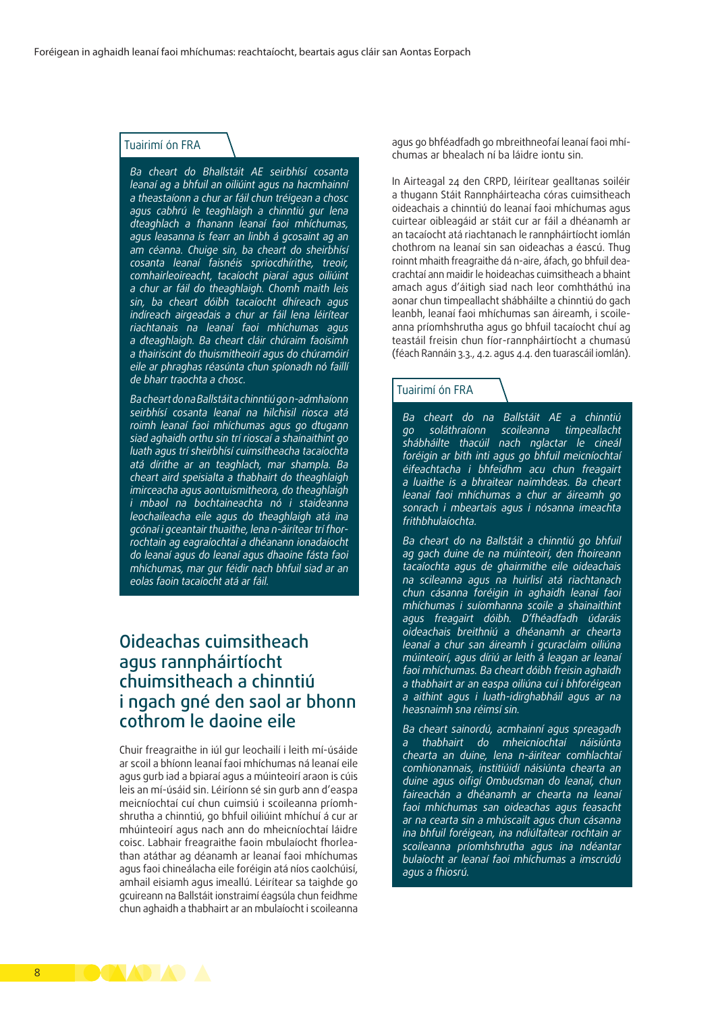#### Tuairimí ón FRA

*Ba cheart do Bhallstáit AE seirbhísí cosanta leanaí ag a bhfuil an oiliúint agus na hacmhainní a theastaíonn a chur ar fáil chun tréigean a chosc agus cabhrú le teaghlaigh a chinntiú gur lena dteaghlach a fhanann leanaí faoi mhíchumas, agus leasanna is fearr an linbh á gcosaint ag an am céanna. Chuige sin, ba cheart do sheirbhísí cosanta leanaí faisnéis spriocdhírithe, treoir, comhairleoireacht, tacaíocht piaraí agus oiliúint a chur ar fáil do theaghlaigh. Chomh maith leis sin, ba cheart dóibh tacaíocht dhíreach agus indíreach airgeadais a chur ar fáil lena léirítear riachtanais na leanaí faoi mhíchumas agus a dteaghlaigh. Ba cheart cláir chúraim faoisimh a thairiscint do thuismitheoirí agus do chúramóirí eile ar phraghas réasúnta chun spíonadh nó faillí de bharr traochta a chosc.*

*Ba cheart do na Ballstáit a chinntiú go n-admhaíonn seirbhísí cosanta leanaí na hilchisil riosca atá roimh leanaí faoi mhíchumas agus go dtugann siad aghaidh orthu sin trí rioscaí a shainaithint go luath agus trí sheirbhísí cuimsitheacha tacaíochta atá dírithe ar an teaghlach, mar shampla. Ba cheart aird speisialta a thabhairt do theaghlaigh imirceacha agus aontuismitheora, do theaghlaigh i mbaol na bochtaineachta nó i staideanna leochaileacha eile agus do theaghlaigh atá ina gcónaí i gceantair thuaithe, lena n-áirítear trí fhorrochtain ag eagraíochtaí a dhéanann ionadaíocht do leanaí agus do leanaí agus dhaoine fásta faoi mhíchumas, mar gur féidir nach bhfuil siad ar an eolas faoin tacaíocht atá ar fáil.*

### Oideachas cuimsitheach agus rannpháirtíocht chuimsitheach a chinntiú i ngach gné den saol ar bhonn cothrom le daoine eile

Chuir freagraithe in iúl gur leochailí i leith mí-úsáide ar scoil a bhíonn leanaí faoi mhíchumas ná leanaí eile agus gurb iad a bpiaraí agus a múinteoirí araon is cúis leis an mí-úsáid sin. Léiríonn sé sin gurb ann d'easpa meicníochtaí cuí chun cuimsiú i scoileanna príomhshrutha a chinntiú, go bhfuil oiliúint mhíchuí á cur ar mhúinteoirí agus nach ann do mheicníochtaí láidre coisc. Labhair freagraithe faoin mbulaíocht fhorleathan atáthar ag déanamh ar leanaí faoi mhíchumas agus faoi chineálacha eile foréigin atá níos caolchúisí, amhail eisiamh agus imeallú. Léirítear sa taighde go gcuireann na Ballstáit ionstraimí éagsúla chun feidhme chun aghaidh a thabhairt ar an mbulaíocht i scoileanna

agus go bhféadfadh go mbreithneofaí leanaí faoi mhíchumas ar bhealach ní ba láidre iontu sin.

In Airteagal 24 den CRPD, léirítear gealltanas soiléir a thugann Stáit Rannpháirteacha córas cuimsitheach oideachais a chinntiú do leanaí faoi mhíchumas agus cuirtear oibleagáid ar stáit cur ar fáil a dhéanamh ar an tacaíocht atá riachtanach le rannpháirtíocht iomlán chothrom na leanaí sin san oideachas a éascú. Thug roinnt mhaith freagraithe dá n-aire, áfach, go bhfuil deacrachtaí ann maidir le hoideachas cuimsitheach a bhaint amach agus d'áitigh siad nach leor comhtháthú ina aonar chun timpeallacht shábháilte a chinntiú do gach leanbh, leanaí faoi mhíchumas san áireamh, i scoileanna príomhshrutha agus go bhfuil tacaíocht chuí ag teastáil freisin chun fíor-rannpháirtíocht a chumasú (féach Rannáin 3.3., 4.2. agus 4.4. den tuarascáil iomlán).

#### Tuairimí ón FRA

*Ba cheart do na Ballstáit AE a chinntiú go soláthraíonn scoileanna timpeallacht shábháilte thacúil nach nglactar le cineál foréigin ar bith inti agus go bhfuil meicníochtaí éifeachtacha i bhfeidhm acu chun freagairt a luaithe is a bhraitear naimhdeas. Ba cheart leanaí faoi mhíchumas a chur ar áireamh go sonrach i mbeartais agus i nósanna imeachta frithbhulaíochta.*

*Ba cheart do na Ballstáit a chinntiú go bhfuil ag gach duine de na múinteoirí, den fhoireann tacaíochta agus de ghairmithe eile oideachais na scileanna agus na huirlisí atá riachtanach chun cásanna foréigin in aghaidh leanaí faoi mhíchumas i suíomhanna scoile a shainaithint agus freagairt dóibh. D'fhéadfadh údaráis oideachais breithniú a dhéanamh ar chearta leanaí a chur san áireamh i gcuraclaim oiliúna múinteoirí, agus díriú ar leith á leagan ar leanaí faoi mhíchumas. Ba cheart dóibh freisin aghaidh a thabhairt ar an easpa oiliúna cuí i bhforéigean a aithint agus i luath-idirghabháil agus ar na heasnaimh sna réimsí sin.*

*Ba cheart sainordú, acmhainní agus spreagadh a thabhairt do mheicníochtaí náisiúnta chearta an duine, lena n-áirítear comhlachtaí comhionannais, institiúidí náisiúnta chearta an duine agus oifigí Ombudsman do leanaí, chun faireachán a dhéanamh ar chearta na leanaí faoi mhíchumas san oideachas agus feasacht ar na cearta sin a mhúscailt agus chun cásanna ina bhfuil foréigean, ina ndiúltaítear rochtain ar scoileanna príomhshrutha agus ina ndéantar bulaíocht ar leanaí faoi mhíchumas a imscrúdú agus a fhiosrú.*

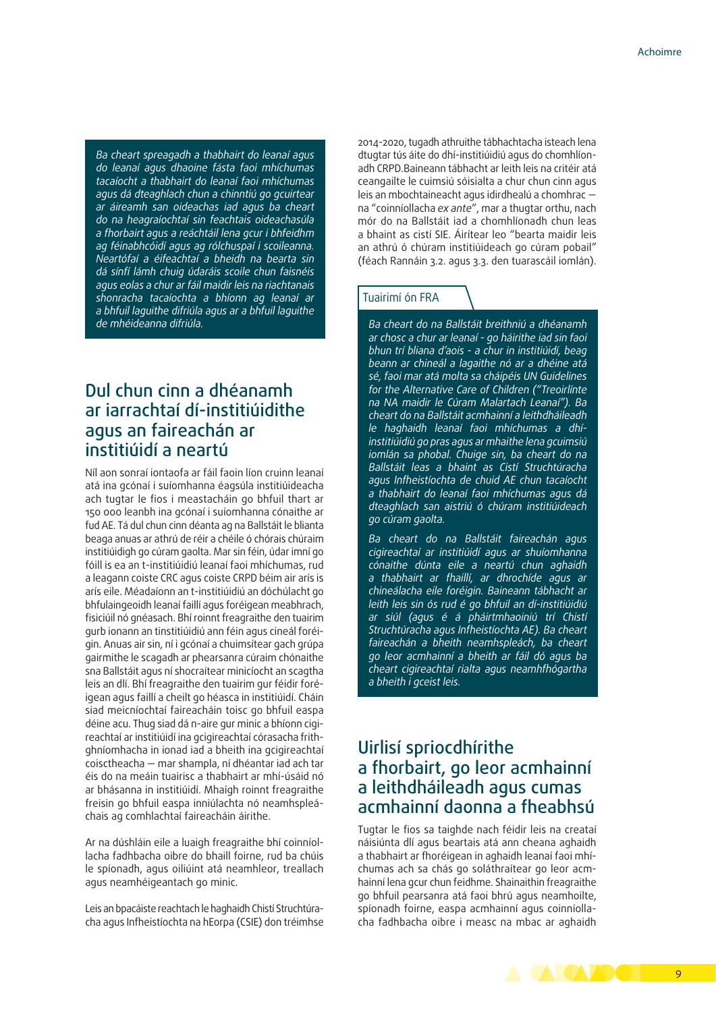*Ba cheart spreagadh a thabhairt do leanaí agus do leanaí agus dhaoine fásta faoi mhíchumas tacaíocht a thabhairt do leanaí faoi mhíchumas agus dá dteaghlach chun a chinntiú go gcuirtear ar áireamh san oideachas iad agus ba cheart do na heagraíochtaí sin feachtais oideachasúla a fhorbairt agus a reáchtáil lena gcur i bhfeidhm ag féinabhcóidí agus ag rólchuspaí i scoileanna. Neartófaí a éifeachtaí a bheidh na bearta sin dá sínfí lámh chuig údaráis scoile chun faisnéis agus eolas a chur ar fáil maidir leis na riachtanais shonracha tacaíochta a bhíonn ag leanaí ar a bhfuil laguithe difriúla agus ar a bhfuil laguithe de mhéideanna difriúla.*

### Dul chun cinn a dhéanamh ar iarrachtaí dí-institiúidithe agus an faireachán ar institiúidí a neartú

Níl aon sonraí iontaofa ar fáil faoin líon cruinn leanaí atá ina gcónaí i suíomhanna éagsúla institiúideacha ach tugtar le fios i meastacháin go bhfuil thart ar 150 000 leanbh ina gcónaí i suíomhanna cónaithe ar fud AE. Tá dul chun cinn déanta ag na Ballstáit le blianta beaga anuas ar athrú de réir a chéile ó chórais chúraim institiúidigh go cúram gaolta. Mar sin féin, údar imní go fóill is ea an t-institiúidiú leanaí faoi mhíchumas, rud a leagann coiste CRC agus coiste CRPD béim air arís is arís eile. Méadaíonn an t-institiúidiú an dóchúlacht go bhfulaingeoidh leanaí faillí agus foréigean meabhrach, fisiciúil nó gnéasach. Bhí roinnt freagraithe den tuairim gurb ionann an tinstitiúidiú ann féin agus cineál foréigin. Anuas air sin, ní i gcónaí a chuimsítear gach grúpa gairmithe le scagadh ar phearsanra cúraim chónaithe sna Ballstáit agus ní shocraítear minicíocht an scagtha leis an dlí. Bhí freagraithe den tuairim gur féidir foréigean agus faillí a cheilt go héasca in institiúidí. Cháin siad meicníochtaí faireacháin toisc go bhfuil easpa déine acu. Thug siad dá n-aire gur minic a bhíonn cigireachtaí ar institiúidí ina gcigireachtaí córasacha frithghníomhacha in ionad iad a bheith ina gcigireachtaí coisctheacha — mar shampla, ní dhéantar iad ach tar éis do na meáin tuairisc a thabhairt ar mhí-úsáid nó ar bhásanna in institiúidí. Mhaígh roinnt freagraithe freisin go bhfuil easpa inniúlachta nó neamhspleáchais ag comhlachtaí faireacháin áirithe.

Ar na dúshláin eile a luaigh freagraithe bhí coinníollacha fadhbacha oibre do bhaill foirne, rud ba chúis le spíonadh, agus oiliúint atá neamhleor, treallach agus neamhéigeantach go minic.

Leis an bpacáiste reachtach le haghaidh Chistí Struchtúracha agus Infheistíochta na hEorpa (CSIE) don tréimhse 2014-2020, tugadh athruithe tábhachtacha isteach lena dtugtar tús áite do dhí-institiúidiú agus do chomhlíonadh CRPD.Baineann tábhacht ar leith leis na critéir atá ceangailte le cuimsiú sóisialta a chur chun cinn agus leis an mbochtaineacht agus idirdhealú a chomhrac na "coinníollacha *ex ante*", mar a thugtar orthu, nach mór do na Ballstáit iad a chomhlíonadh chun leas a bhaint as cistí SIE. Áirítear leo "bearta maidir leis an athrú ó chúram institiúideach go cúram pobail" (féach Rannáin 3.2. agus 3.3. den tuarascáil iomlán).

#### Tuairimí ón FRA

*Ba cheart do na Ballstáit breithniú a dhéanamh ar chosc a chur ar leanaí - go háirithe iad sin faoi bhun trí bliana d'aois - a chur in institiúidí, beag beann ar chineál a lagaithe nó ar a dhéine atá sé, faoi mar atá molta sa cháipéis UN Guidelines for the Alternative Care of Children ("Treoirlínte na NA maidir le Cúram Malartach Leanaí"). Ba cheart do na Ballstáit acmhainní a leithdháileadh le haghaidh leanaí faoi mhíchumas a dhíinstitiúidiú go pras agus ar mhaithe lena gcuimsiú iomlán sa phobal. Chuige sin, ba cheart do na Ballstáit leas a bhaint as Cistí Struchtúracha agus Infheistíochta de chuid AE chun tacaíocht a thabhairt do leanaí faoi mhíchumas agus dá dteaghlach san aistriú ó chúram institiúideach go cúram gaolta.*

*Ba cheart do na Ballstáit faireachán agus cigireachtaí ar institiúidí agus ar shuíomhanna cónaithe dúnta eile a neartú chun aghaidh a thabhairt ar fhaillí, ar dhrochíde agus ar chineálacha eile foréigin. Baineann tábhacht ar leith leis sin ós rud é go bhfuil an dí-institiúidiú ar siúl (agus é á pháirtmhaoiniú trí Chistí Struchtúracha agus Infheistíochta AE). Ba cheart faireachán a bheith neamhspleách, ba cheart go leor acmhainní a bheith ar fáil dó agus ba cheart cigireachtaí rialta agus neamhfhógartha a bheith i gceist leis.*

### Uirlisí spriocdhírithe a fhorbairt, go leor acmhainní a leithdháileadh agus cumas acmhainní daonna a fheabhsú

Tugtar le fios sa taighde nach féidir leis na creataí náisiúnta dlí agus beartais atá ann cheana aghaidh a thabhairt ar fhoréigean in aghaidh leanaí faoi mhíchumas ach sa chás go soláthraítear go leor acmhainní lena gcur chun feidhme. Shainaithin freagraithe go bhfuil pearsanra atá faoi bhrú agus neamhoilte, spíonadh foirne, easpa acmhainní agus coinníollacha fadhbacha oibre i measc na mbac ar aghaidh

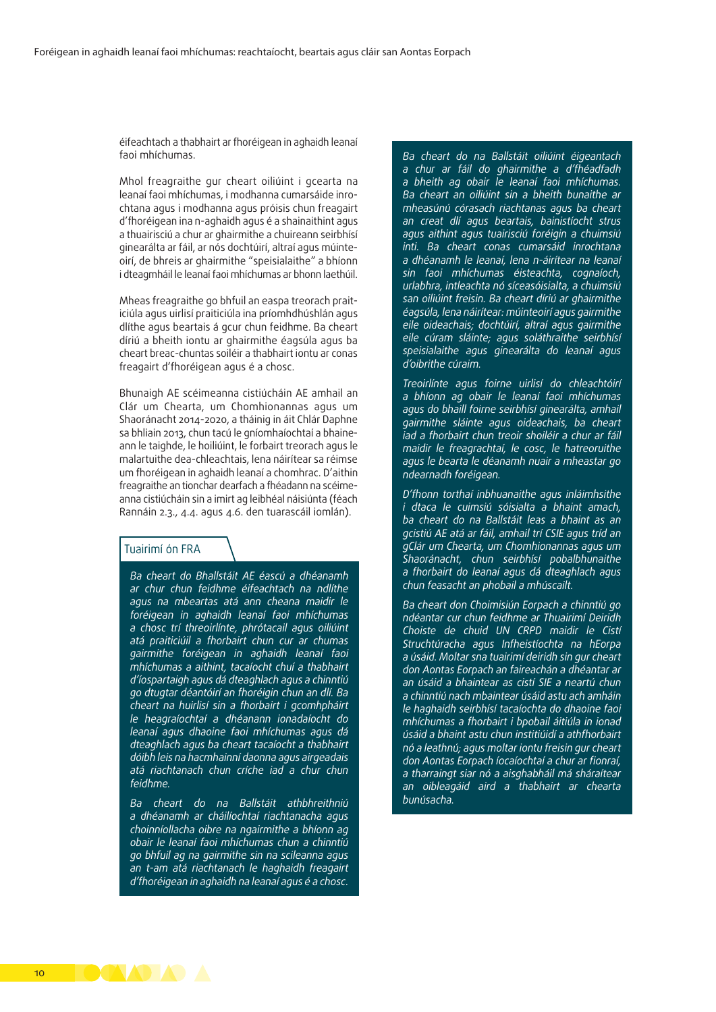éifeachtach a thabhairt ar fhoréigean in aghaidh leanaí faoi mhíchumas.

Mhol freagraithe gur cheart oiliúint i gcearta na leanaí faoi mhíchumas, i modhanna cumarsáide inrochtana agus i modhanna agus próisis chun freagairt d'fhoréigean ina n-aghaidh agus é a shainaithint agus a thuairisciú a chur ar ghairmithe a chuireann seirbhísí ginearálta ar fáil, ar nós dochtúirí, altraí agus múinteoirí, de bhreis ar ghairmithe "speisialaithe" a bhíonn i dteagmháil le leanaí faoi mhíchumas ar bhonn laethúil.

Mheas freagraithe go bhfuil an easpa treorach praiticiúla agus uirlisí praiticiúla ina príomhdhúshlán agus dlíthe agus beartais á gcur chun feidhme. Ba cheart díriú a bheith iontu ar ghairmithe éagsúla agus ba cheart breac-chuntas soiléir a thabhairt iontu ar conas freagairt d'fhoréigean agus é a chosc.

Bhunaigh AE scéimeanna cistiúcháin AE amhail an Clár um Chearta, um Chomhionannas agus um Shaoránacht 2014-2020, a tháinig in áit Chlár Daphne sa bhliain 2013, chun tacú le gníomhaíochtaí a bhaineann le taighde, le hoiliúint, le forbairt treorach agus le malartuithe dea-chleachtais, lena náirítear sa réimse um fhoréigean in aghaidh leanaí a chomhrac. D'aithin freagraithe an tionchar dearfach a fhéadann na scéimeanna cistiúcháin sin a imirt ag leibhéal náisiúnta (féach Rannáin 2.3., 4.4. agus 4.6. den tuarascáil iomlán).

#### Tuairimí ón FRA

*Ba cheart do Bhallstáit AE éascú a dhéanamh ar chur chun feidhme éifeachtach na ndlíthe agus na mbeartas atá ann cheana maidir le foréigean in aghaidh leanaí faoi mhíchumas a chosc trí threoirlínte, phrótacail agus oiliúint atá praiticiúil a fhorbairt chun cur ar chumas gairmithe foréigean in aghaidh leanaí faoi mhíchumas a aithint, tacaíocht chuí a thabhairt d'íospartaigh agus dá dteaghlach agus a chinntiú go dtugtar déantóirí an fhoréigin chun an dlí. Ba cheart na huirlisí sin a fhorbairt i gcomhpháirt le heagraíochtaí a dhéanann ionadaíocht do leanaí agus dhaoine faoi mhíchumas agus dá dteaghlach agus ba cheart tacaíocht a thabhairt dóibh leis na hacmhainní daonna agus airgeadais atá riachtanach chun críche iad a chur chun feidhme.*

*Ba cheart do na Ballstáit athbhreithniú a dhéanamh ar cháilíochtaí riachtanacha agus choinníollacha oibre na ngairmithe a bhíonn ag obair le leanaí faoi mhíchumas chun a chinntiú go bhfuil ag na gairmithe sin na scileanna agus an t-am atá riachtanach le haghaidh freagairt d'fhoréigean in aghaidh na leanaí agus é a chosc.*

*Ba cheart do na Ballstáit oiliúint éigeantach a chur ar fáil do ghairmithe a d'fhéadfadh a bheith ag obair le leanaí faoi mhíchumas. Ba cheart an oiliúint sin a bheith bunaithe ar mheasúnú córasach riachtanas agus ba cheart an creat dlí agus beartais, bainistíocht strus agus aithint agus tuairisciú foréigin a chuimsiú inti. Ba cheart conas cumarsáid inrochtana a dhéanamh le leanaí, lena n-áirítear na leanaí sin faoi mhíchumas éisteachta, cognaíoch, urlabhra, intleachta nó síceasóisialta, a chuimsiú san oiliúint freisin. Ba cheart díriú ar ghairmithe éagsúla, lena náirítear: múinteoirí agus gairmithe eile oideachais; dochtúirí, altraí agus gairmithe eile cúram sláinte; agus soláthraithe seirbhísí speisialaithe agus ginearálta do leanaí agus d'oibrithe cúraim.*

*Treoirlínte agus foirne uirlisí do chleachtóirí a bhíonn ag obair le leanaí faoi mhíchumas agus do bhaill foirne seirbhísí ginearálta, amhail gairmithe sláinte agus oideachais, ba cheart iad a fhorbairt chun treoir shoiléir a chur ar fáil maidir le freagrachtaí, le cosc, le hatreoruithe agus le bearta le déanamh nuair a mheastar go ndearnadh foréigean.*

*D'fhonn torthaí inbhuanaithe agus inláimhsithe i dtaca le cuimsiú sóisialta a bhaint amach, ba cheart do na Ballstáit leas a bhaint as an gcistiú AE atá ar fáil, amhail trí CSIE agus tríd an gClár um Chearta, um Chomhionannas agus um Shaoránacht, chun seirbhísí pobalbhunaithe a fhorbairt do leanaí agus dá dteaghlach agus chun feasacht an phobail a mhúscailt.*

*Ba cheart don Choimisiún Eorpach a chinntiú go ndéantar cur chun feidhme ar Thuairimí Deiridh Choiste de chuid UN CRPD maidir le Cistí Struchtúracha agus Infheistíochta na hEorpa a úsáid. Moltar sna tuairimí deiridh sin gur cheart don Aontas Eorpach an faireachán a dhéantar ar an úsáid a bhaintear as cistí SIE a neartú chun a chinntiú nach mbaintear úsáid astu ach amháin le haghaidh seirbhísí tacaíochta do dhaoine faoi mhíchumas a fhorbairt i bpobail áitiúla in ionad úsáid a bhaint astu chun institiúidí a athfhorbairt nó a leathnú; agus moltar iontu freisin gur cheart don Aontas Eorpach íocaíochtaí a chur ar fionraí, a tharraingt siar nó a aisghabháil má sháraítear an oibleagáid aird a thabhairt ar chearta bunúsacha.*

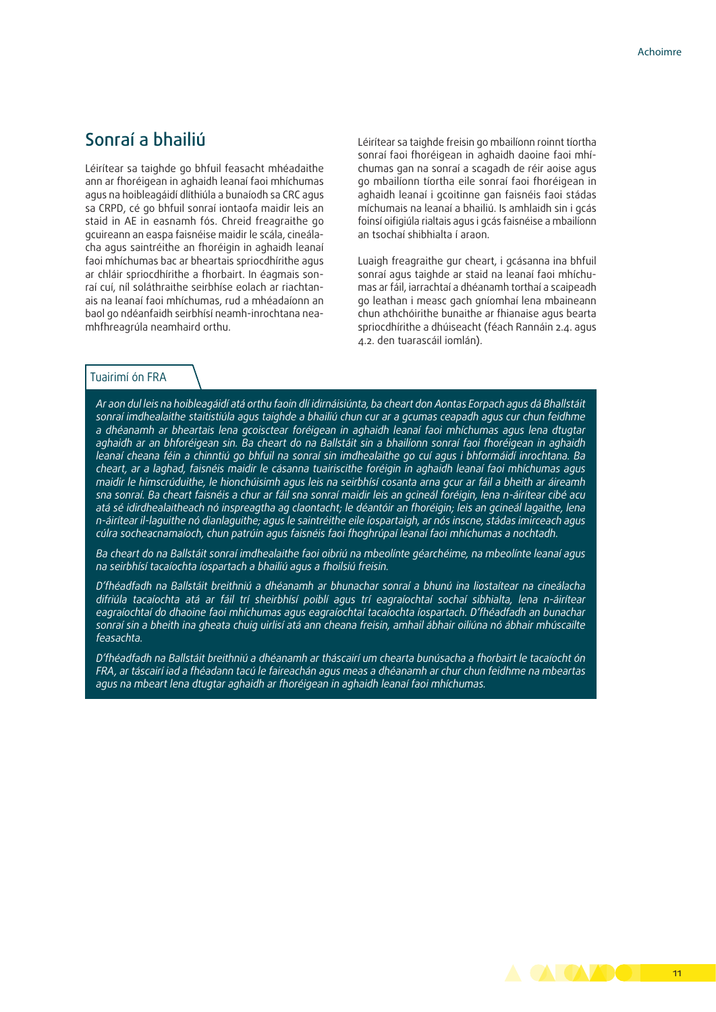### Sonraí a bhailiú

Léirítear sa taighde go bhfuil feasacht mhéadaithe ann ar fhoréigean in aghaidh leanaí faoi mhíchumas agus na hoibleagáidí dlíthiúla a bunaíodh sa CRC agus sa CRPD, cé go bhfuil sonraí iontaofa maidir leis an staid in AE in easnamh fós. Chreid freagraithe go gcuireann an easpa faisnéise maidir le scála, cineálacha agus saintréithe an fhoréigin in aghaidh leanaí faoi mhíchumas bac ar bheartais spriocdhírithe agus ar chláir spriocdhírithe a fhorbairt. In éagmais sonraí cuí, níl soláthraithe seirbhíse eolach ar riachtanais na leanaí faoi mhíchumas, rud a mhéadaíonn an baol go ndéanfaidh seirbhísí neamh-inrochtana neamhfhreagrúla neamhaird orthu.

Léirítear sa taighde freisin go mbailíonn roinnt tíortha sonraí faoi fhoréigean in aghaidh daoine faoi mhíchumas gan na sonraí a scagadh de réir aoise agus go mbailíonn tíortha eile sonraí faoi fhoréigean in aghaidh leanaí i gcoitinne gan faisnéis faoi stádas míchumais na leanaí a bhailiú. Is amhlaidh sin i gcás foinsí oifigiúla rialtais agus i gcás faisnéise a mbailíonn an tsochaí shibhialta í araon.

Luaigh freagraithe gur cheart, i gcásanna ina bhfuil sonraí agus taighde ar staid na leanaí faoi mhíchumas ar fáil, iarrachtaí a dhéanamh torthaí a scaipeadh go leathan i measc gach gníomhaí lena mbaineann chun athchóirithe bunaithe ar fhianaise agus bearta spriocdhírithe a dhúiseacht (féach Rannáin 2.4. agus 4.2. den tuarascáil iomlán).

#### Tuairimí ón FRA

*Ar aon dul leis na hoibleagáidí atá orthu faoin dlí idirnáisiúnta, ba cheart don Aontas Eorpach agus dá Bhallstáit sonraí imdhealaithe staitistiúla agus taighde a bhailiú chun cur ar a gcumas ceapadh agus cur chun feidhme a dhéanamh ar bheartais lena gcoisctear foréigean in aghaidh leanaí faoi mhíchumas agus lena dtugtar aghaidh ar an bhforéigean sin. Ba cheart do na Ballstáit sin a bhailíonn sonraí faoi fhoréigean in aghaidh leanaí cheana féin a chinntiú go bhfuil na sonraí sin imdhealaithe go cuí agus i bhformáidí inrochtana. Ba cheart, ar a laghad, faisnéis maidir le cásanna tuairiscithe foréigin in aghaidh leanaí faoi mhíchumas agus maidir le himscrúduithe, le hionchúisimh agus leis na seirbhísí cosanta arna gcur ar fáil a bheith ar áireamh sna sonraí. Ba cheart faisnéis a chur ar fáil sna sonraí maidir leis an gcineál foréigin, lena n-áirítear cibé acu atá sé idirdhealaitheach nó inspreagtha ag claontacht; le déantóir an fhoréigin; leis an gcineál lagaithe, lena n-áirítear il-laguithe nó dianlaguithe; agus le saintréithe eile íospartaigh, ar nós inscne, stádas imirceach agus cúlra socheacnamaíoch, chun patrúin agus faisnéis faoi fhoghrúpaí leanaí faoi mhíchumas a nochtadh.*

*Ba cheart do na Ballstáit sonraí imdhealaithe faoi oibriú na mbeolínte géarchéime, na mbeolínte leanaí agus na seirbhísí tacaíochta íospartach a bhailiú agus a fhoilsiú freisin.*

*D'fhéadfadh na Ballstáit breithniú a dhéanamh ar bhunachar sonraí a bhunú ina liostaítear na cineálacha difriúla tacaíochta atá ar fáil trí sheirbhísí poiblí agus trí eagraíochtaí sochaí sibhialta, lena n-áirítear eagraíochtaí do dhaoine faoi mhíchumas agus eagraíochtaí tacaíochta íospartach. D'fhéadfadh an bunachar sonraí sin a bheith ina gheata chuig uirlisí atá ann cheana freisin, amhail ábhair oiliúna nó ábhair mhúscailte feasachta.*

*D'fhéadfadh na Ballstáit breithniú a dhéanamh ar tháscairí um chearta bunúsacha a fhorbairt le tacaíocht ón FRA, ar táscairí iad a fhéadann tacú le faireachán agus meas a dhéanamh ar chur chun feidhme na mbeartas agus na mbeart lena dtugtar aghaidh ar fhoréigean in aghaidh leanaí faoi mhíchumas.*